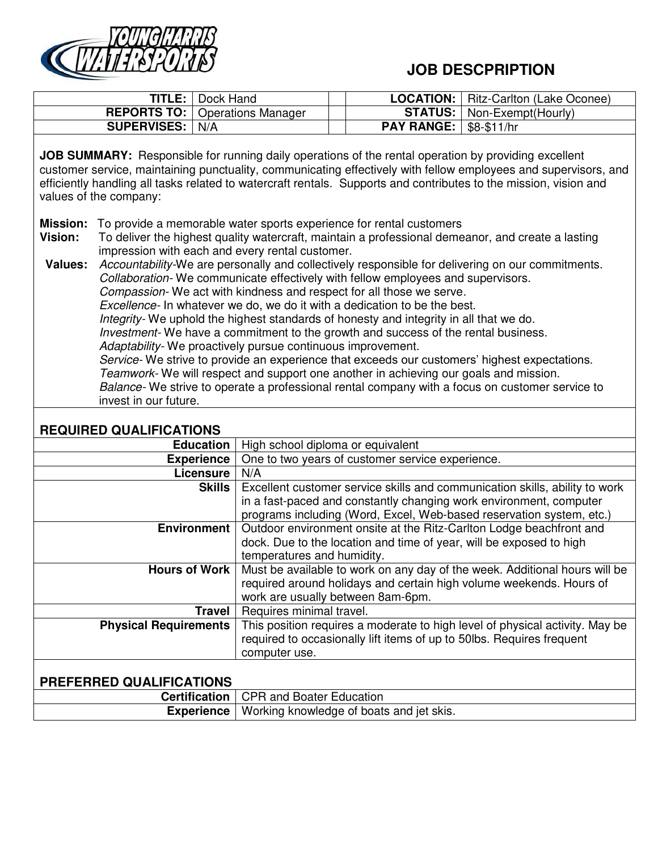

## **JOB DESCPRIPTION**

|                          | <b>TITLE:</b>   Dock Hand               |                                 | <b>LOCATION:</b>   Ritz-Carlton (Lake Oconee) |
|--------------------------|-----------------------------------------|---------------------------------|-----------------------------------------------|
|                          | <b>REPORTS TO:</b>   Operations Manager |                                 | <b>STATUS:</b>   Non-Exempt(Hourly)           |
| <b>SUPERVISES:   N/A</b> |                                         | <b>PAY RANGE:   \$8-\$11/hr</b> |                                               |
|                          |                                         |                                 |                                               |

**JOB SUMMARY:** Responsible for running daily operations of the rental operation by providing excellent customer service, maintaining punctuality, communicating effectively with fellow employees and supervisors, and efficiently handling all tasks related to watercraft rentals. Supports and contributes to the mission, vision and values of the company:

- **Mission:** To provide a memorable water sports experience for rental customers
- **Vision:** To deliver the highest quality watercraft, maintain a professional demeanor, and create a lasting impression with each and every rental customer.

**Values:** *Accountability-*We are personally and collectively responsible for delivering on our commitments. *Collaboration-* We communicate effectively with fellow employees and supervisors. *Compassion-* We act with kindness and respect for all those we serve*. Excellence-* In whatever we do, we do it with a dedication to be the best. *Integrity-* We uphold the highest standards of honesty and integrity in all that we do. *Investment-* We have a commitment to the growth and success of the rental business. *Adaptability-* We proactively pursue continuous improvement. *Service-* We strive to provide an experience that exceeds our customers' highest expectations. *Teamwork-* We will respect and support one another in achieving our goals and mission. *Balance-* We strive to operate a professional rental company with a focus on customer service to invest in our future.

## **REQUIRED QUALIFICATIONS**

| <b>Education</b>                | High school diploma or equivalent                                            |  |  |
|---------------------------------|------------------------------------------------------------------------------|--|--|
| <b>Experience</b>               | One to two years of customer service experience.                             |  |  |
| Licensure                       | N/A                                                                          |  |  |
| Skills                          | Excellent customer service skills and communication skills, ability to work  |  |  |
|                                 | in a fast-paced and constantly changing work environment, computer           |  |  |
|                                 | programs including (Word, Excel, Web-based reservation system, etc.)         |  |  |
| <b>Environment</b>              | Outdoor environment onsite at the Ritz-Carlton Lodge beachfront and          |  |  |
|                                 | dock. Due to the location and time of year, will be exposed to high          |  |  |
|                                 | temperatures and humidity.                                                   |  |  |
| Hours of Work                   | Must be available to work on any day of the week. Additional hours will be   |  |  |
|                                 | required around holidays and certain high volume weekends. Hours of          |  |  |
|                                 | work are usually between 8am-6pm.                                            |  |  |
| Travel                          | Requires minimal travel.                                                     |  |  |
| <b>Physical Requirements</b>    | This position requires a moderate to high level of physical activity. May be |  |  |
|                                 | required to occasionally lift items of up to 50lbs. Requires frequent        |  |  |
|                                 | computer use.                                                                |  |  |
|                                 |                                                                              |  |  |
| <b>PREFERRED QUALIFICATIONS</b> |                                                                              |  |  |
| <b>Certification</b>            | <b>CPR and Boater Education</b>                                              |  |  |
| <b>Experience</b>               | Working knowledge of boats and jet skis.                                     |  |  |